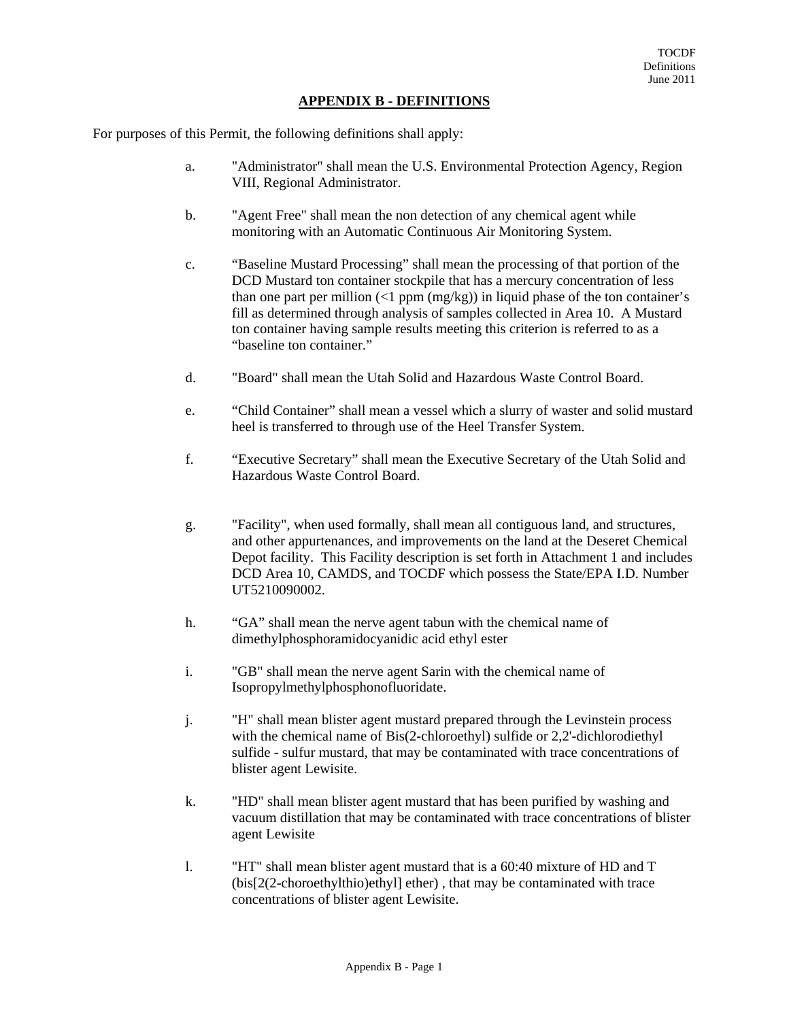## **APPENDIX B - DEFINITIONS**

For purposes of this Permit, the following definitions shall apply:

- a. "Administrator" shall mean the U.S. Environmental Protection Agency, Region VIII, Regional Administrator.
- b. "Agent Free" shall mean the non detection of any chemical agent while monitoring with an Automatic Continuous Air Monitoring System.
- c. "Baseline Mustard Processing" shall mean the processing of that portion of the DCD Mustard ton container stockpile that has a mercury concentration of less than one part per million  $(1 \text{ ppm} \, (\text{mg/kg}))$  in liquid phase of the ton container's fill as determined through analysis of samples collected in Area 10. A Mustard ton container having sample results meeting this criterion is referred to as a "baseline ton container."
- d. "Board" shall mean the Utah Solid and Hazardous Waste Control Board.
- e. "Child Container" shall mean a vessel which a slurry of waster and solid mustard heel is transferred to through use of the Heel Transfer System.
- f. "Executive Secretary" shall mean the Executive Secretary of the Utah Solid and Hazardous Waste Control Board.
- g. "Facility", when used formally, shall mean all contiguous land, and structures, and other appurtenances, and improvements on the land at the Deseret Chemical Depot facility. This Facility description is set forth in Attachment 1 and includes DCD Area 10, CAMDS, and TOCDF which possess the State/EPA I.D. Number UT5210090002.
- h. "GA" shall mean the nerve agent tabun with the chemical name of dimethylphosphoramidocyanidic acid ethyl ester
- i. "GB" shall mean the nerve agent Sarin with the chemical name of Isopropylmethylphosphonofluoridate.
- j. "H" shall mean blister agent mustard prepared through the Levinstein process with the chemical name of Bis(2-chloroethyl) sulfide or 2,2'-dichlorodiethyl sulfide - sulfur mustard, that may be contaminated with trace concentrations of blister agent Lewisite.
- k. "HD" shall mean blister agent mustard that has been purified by washing and vacuum distillation that may be contaminated with trace concentrations of blister agent Lewisite
- l. "HT" shall mean blister agent mustard that is a 60:40 mixture of HD and T (bis[2(2-choroethylthio)ethyl] ether) , that may be contaminated with trace concentrations of blister agent Lewisite.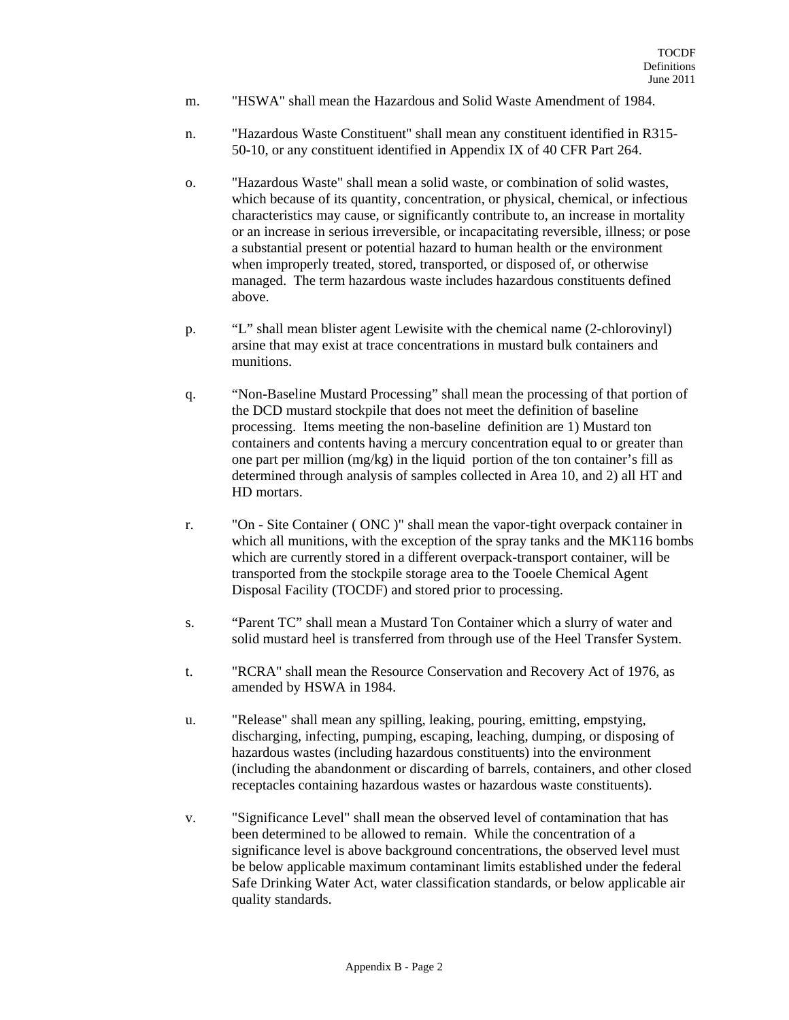- m. "HSWA" shall mean the Hazardous and Solid Waste Amendment of 1984.
- n. "Hazardous Waste Constituent" shall mean any constituent identified in R315- 50-10, or any constituent identified in Appendix IX of 40 CFR Part 264.
- o. "Hazardous Waste" shall mean a solid waste, or combination of solid wastes, which because of its quantity, concentration, or physical, chemical, or infectious characteristics may cause, or significantly contribute to, an increase in mortality or an increase in serious irreversible, or incapacitating reversible, illness; or pose a substantial present or potential hazard to human health or the environment when improperly treated, stored, transported, or disposed of, or otherwise managed. The term hazardous waste includes hazardous constituents defined above.
- p. "L" shall mean blister agent Lewisite with the chemical name (2-chlorovinyl) arsine that may exist at trace concentrations in mustard bulk containers and munitions.
- q. "Non-Baseline Mustard Processing" shall mean the processing of that portion of the DCD mustard stockpile that does not meet the definition of baseline processing. Items meeting the non-baseline definition are 1) Mustard ton containers and contents having a mercury concentration equal to or greater than one part per million (mg/kg) in the liquid portion of the ton container's fill as determined through analysis of samples collected in Area 10, and 2) all HT and HD mortars.
- r. "On Site Container ( ONC )" shall mean the vapor-tight overpack container in which all munitions, with the exception of the spray tanks and the MK116 bombs which are currently stored in a different overpack-transport container, will be transported from the stockpile storage area to the Tooele Chemical Agent Disposal Facility (TOCDF) and stored prior to processing.
- s. "Parent TC" shall mean a Mustard Ton Container which a slurry of water and solid mustard heel is transferred from through use of the Heel Transfer System.
- t. "RCRA" shall mean the Resource Conservation and Recovery Act of 1976, as amended by HSWA in 1984.
- u. "Release" shall mean any spilling, leaking, pouring, emitting, empstying, discharging, infecting, pumping, escaping, leaching, dumping, or disposing of hazardous wastes (including hazardous constituents) into the environment (including the abandonment or discarding of barrels, containers, and other closed receptacles containing hazardous wastes or hazardous waste constituents).
- v. "Significance Level" shall mean the observed level of contamination that has been determined to be allowed to remain. While the concentration of a significance level is above background concentrations, the observed level must be below applicable maximum contaminant limits established under the federal Safe Drinking Water Act, water classification standards, or below applicable air quality standards.